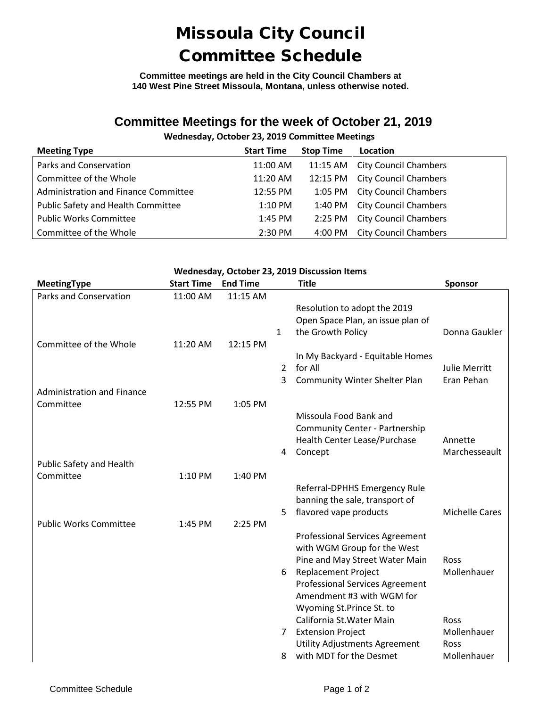## Missoula City Council Committee Schedule

**Committee meetings are held in the City Council Chambers at 140 West Pine Street Missoula, Montana, unless otherwise noted.**

### **Committee Meetings for the week of October 21, 2019**

### **Wednesday, October 23, 2019 Committee Meetings**

| <b>Meeting Type</b>                  | <b>Start Time</b> | <b>Stop Time</b> | Location                       |
|--------------------------------------|-------------------|------------------|--------------------------------|
| Parks and Conservation               | 11:00 AM          |                  | 11:15 AM City Council Chambers |
| Committee of the Whole               | 11:20 AM          |                  | 12:15 PM City Council Chambers |
| Administration and Finance Committee | 12:55 PM          |                  | 1:05 PM City Council Chambers  |
| Public Safety and Health Committee   | 1:10 PM           |                  | 1:40 PM City Council Chambers  |
| <b>Public Works Committee</b>        | 1:45 PM           | 2:25 PM          | <b>City Council Chambers</b>   |
| Committee of the Whole               | 2:30 PM           | 4:00 PM          | <b>City Council Chambers</b>   |

#### **Wednesday, October 23, 2019 Discussion Items**

| <b>MeetingType</b>                | <b>Start Time</b> | <b>End Time</b> |                | <b>Title</b>                                                    | <b>Sponsor</b>           |
|-----------------------------------|-------------------|-----------------|----------------|-----------------------------------------------------------------|--------------------------|
| Parks and Conservation            | 11:00 AM          | 11:15 AM        |                |                                                                 |                          |
|                                   |                   |                 |                | Resolution to adopt the 2019                                    |                          |
|                                   |                   |                 |                | Open Space Plan, an issue plan of                               |                          |
|                                   |                   |                 | $\mathbf{1}$   | the Growth Policy                                               | Donna Gaukler            |
| Committee of the Whole            | 11:20 AM          | 12:15 PM        |                | In My Backyard - Equitable Homes                                |                          |
|                                   |                   |                 | $\mathfrak{D}$ | for All                                                         | <b>Julie Merritt</b>     |
|                                   |                   |                 | 3              | <b>Community Winter Shelter Plan</b>                            | Eran Pehan               |
| <b>Administration and Finance</b> |                   |                 |                |                                                                 |                          |
| Committee                         | 12:55 PM          | 1:05 PM         |                |                                                                 |                          |
|                                   |                   |                 |                | Missoula Food Bank and                                          |                          |
|                                   |                   |                 |                | Community Center - Partnership                                  |                          |
|                                   |                   |                 |                | Health Center Lease/Purchase                                    | Annette<br>Marchesseault |
| Public Safety and Health          |                   |                 | 4              | Concept                                                         |                          |
| Committee                         | 1:10 PM           | 1:40 PM         |                |                                                                 |                          |
|                                   |                   |                 |                | Referral-DPHHS Emergency Rule                                   |                          |
|                                   |                   |                 |                | banning the sale, transport of                                  |                          |
|                                   |                   |                 | 5              | flavored vape products                                          | <b>Michelle Cares</b>    |
| <b>Public Works Committee</b>     | 1:45 PM           | 2:25 PM         |                |                                                                 |                          |
|                                   |                   |                 |                | <b>Professional Services Agreement</b>                          |                          |
|                                   |                   |                 |                | with WGM Group for the West<br>Pine and May Street Water Main   | Ross                     |
|                                   |                   |                 | 6              | <b>Replacement Project</b>                                      | Mollenhauer              |
|                                   |                   |                 |                | <b>Professional Services Agreement</b>                          |                          |
|                                   |                   |                 |                | Amendment #3 with WGM for                                       |                          |
|                                   |                   |                 |                | Wyoming St.Prince St. to                                        |                          |
|                                   |                   |                 |                | California St. Water Main                                       | Ross                     |
|                                   |                   |                 | 7              | <b>Extension Project</b>                                        | Mollenhauer              |
|                                   |                   |                 | 8              | <b>Utility Adjustments Agreement</b><br>with MDT for the Desmet | Ross<br>Mollenhauer      |
|                                   |                   |                 |                |                                                                 |                          |